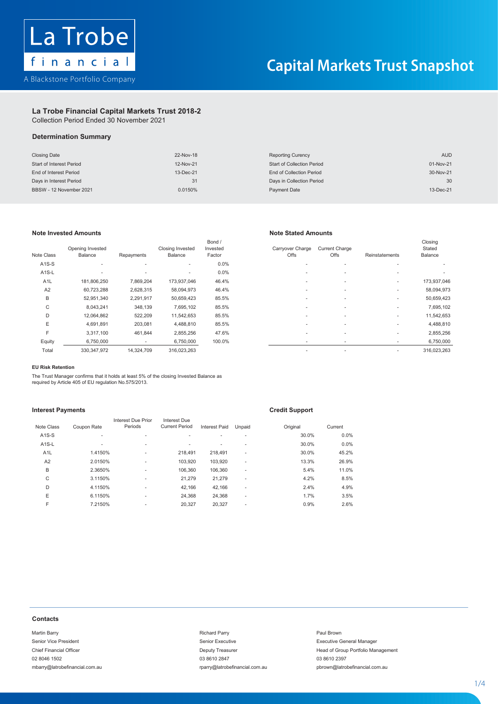

## La Trobe Financial Capital Markets Trust 2018-2

Collection Period Ended 30 November 2021 Collection Period Ended 30 November 2021

# **La Trobe Financial Capital Markets Trust 2018-2 Determination Summary Determination Summary**

| <b>Closing Date</b>             | 22-Nov-18 | <b>Reporting Curency</b>          | <b>AUD</b> |
|---------------------------------|-----------|-----------------------------------|------------|
| <b>Start of Interest Period</b> | 12-Nov-21 | <b>Start of Collection Period</b> | 01-Nov-21  |
| End of Interest Period          | 13-Dec-21 | End of Collection Period          | 30-Nov-21  |
| Days in Interest Period         | 31        | Days in Collection Period         | 30         |
| BBSW - 12 November 2021         | 0.0150%   | Payment Date                      | 13-Dec-21  |

# **Note Invested Amounts Note Stated Amounts**

| Note Class         | Opening Invested<br>Balance | Repayments               | Closing Invested<br>Balance | Bond /<br>Invested<br>Factor | Carryover Charge<br>Offs | <b>Current Charge</b><br>Offs | Reinstatements           | Closing<br>Stated<br>Balance |
|--------------------|-----------------------------|--------------------------|-----------------------------|------------------------------|--------------------------|-------------------------------|--------------------------|------------------------------|
| $A1S-S$            | ٠                           | $\overline{\phantom{a}}$ | ٠                           | $0.0\%$                      | ۰                        |                               |                          |                              |
| A <sub>1</sub> S-L | ٠                           |                          | ٠                           | $0.0\%$                      | ۰                        |                               | $\overline{\phantom{a}}$ |                              |
| A <sub>1</sub> L   | 181,806,250                 | 7,869,204                | 173,937,046                 | 46.4%                        |                          |                               | ٠                        | 173,937,046                  |
| A2                 | 60,723,288                  | 2,628,315                | 58,094,973                  | 46.4%                        |                          |                               |                          | 58,094,973                   |
| B                  | 52,951,340                  | 2,291,917                | 50,659,423                  | 85.5%                        | ۰                        |                               |                          | 50,659,423                   |
| C                  | 8,043,241                   | 348,139                  | 7,695,102                   | 85.5%                        |                          |                               | ٠                        | 7,695,102                    |
| D                  | 12,064,862                  | 522,209                  | 11,542,653                  | 85.5%                        | ۰                        | $\overline{\phantom{a}}$      | ٠                        | 11,542,653                   |
| E                  | 4,691,891                   | 203,081                  | 4,488,810                   | 85.5%                        | ۰                        | $\overline{\phantom{a}}$      |                          | 4,488,810                    |
| E                  | 3,317,100                   | 461,844                  | 2,855,256                   | 47.6%                        | ۰                        |                               |                          | 2,855,256                    |
| Equity             | 6,750,000                   | $\sim$                   | 6,750,000                   | 100.0%                       | ۰                        |                               |                          | 6,750,000                    |
| Total              | 330.347.972                 | 14.324.709               | 316.023.263                 |                              | ۰                        |                               |                          | 316.023.263                  |

| e Class            | Opening Invested<br>Balance | Repayments | <b>Closing Invested</b><br>Balance | Bond /<br>Invested<br>Factor | Carrvover Charge<br>Offs | <b>Current Charge</b><br>Offs | Reinstatements | Closing<br>Stated<br>Balance |
|--------------------|-----------------------------|------------|------------------------------------|------------------------------|--------------------------|-------------------------------|----------------|------------------------------|
| A1S-S              |                             |            |                                    | $0.0\%$                      |                          |                               |                |                              |
| A <sub>1</sub> S-L |                             | ۰          | ۰.                                 | 0.0%                         |                          |                               | ۰.             |                              |
| A <sub>1</sub> L   | 181,806,250                 | 7,869,204  | 173,937,046                        | 46.4%                        | $\overline{\phantom{a}}$ |                               |                | 173,937,046                  |
| A <sub>2</sub>     | 60,723,288                  | 2,628,315  | 58,094,973                         | 46.4%                        |                          |                               |                | 58,094,973                   |
| B                  | 52,951,340                  | 2,291,917  | 50,659,423                         | 85.5%                        |                          |                               | ۰.             | 50,659,423                   |
| C                  | 8,043,241                   | 348,139    | 7,695,102                          | 85.5%                        |                          |                               |                | 7,695,102                    |
| D                  | 12,064,862                  | 522,209    | 11,542,653                         | 85.5%                        | $\overline{\phantom{a}}$ |                               | ۰.             | 11,542,653                   |
| Е                  | 4,691,891                   | 203,081    | 4,488,810                          | 85.5%                        | $\overline{\phantom{a}}$ |                               |                | 4,488,810                    |
| F                  | 3,317,100                   | 461,844    | 2,855,256                          | 47.6%                        |                          | $\overline{\phantom{a}}$      |                | 2,855,256                    |
| Equity             | 6,750,000                   |            | 6,750,000                          | 100.0%                       |                          |                               |                | 6,750,000                    |
| Total              | 330, 347, 972               | 14,324,709 | 316,023,263                        |                              | $\overline{\phantom{a}}$ |                               |                | 316,023,263                  |
|                    |                             |            |                                    |                              |                          |                               |                |                              |

### F 3,317,100 461,844 2,855,256 47.6% - - - 2,855,256 **EU Risk Retention**

The Trust Manager confirms that it holds at least 5% of the closing Invested Balance as required by Article 405 of EU regulation No.575/2013.

### The Trust Manager confirms that it holds at least 5% of the closing Invested Balance as **Interest Payments Credit Support**

| Note Class       | Coupon Rate | Interest Due Prior<br>Periods | Interest Due<br><b>Current Period</b> | <b>Interest Paid</b> | Unpaid                   | Original | Current |
|------------------|-------------|-------------------------------|---------------------------------------|----------------------|--------------------------|----------|---------|
| $A1S-S$          | ۰           | ٠                             | ۰                                     | ۰.                   | $\mathbf{r}$             | 30.0%    | $0.0\%$ |
| $A1S-L$          | ۰           | $\overline{\phantom{a}}$      | ۰                                     | ۰                    | $\mathbf{r}$             | 30.0%    | $0.0\%$ |
| A <sub>1</sub> L | 1.4150%     | ٠                             | 218.491                               | 218.491              | $\overline{\phantom{a}}$ | 30.0%    | 45.2%   |
| A2               | 2.0150%     | ٠                             | 103,920                               | 103,920              | ٠                        | 13.3%    | 26.9%   |
| B                | 2.3650%     | $\overline{\phantom{a}}$      | 106.360                               | 106.360              | ٠                        | 5.4%     | 11.0%   |
| С                | 3.1150%     | $\overline{\phantom{a}}$      | 21,279                                | 21.279               | $\mathbf{r}$             | 4.2%     | 8.5%    |
| D                | 4.1150%     | $\overline{\phantom{a}}$      | 42.166                                | 42.166               | ٠                        | 2.4%     | 4.9%    |
| E                | 6.1150%     | $\mathbf{r}$                  | 24.368                                | 24,368               | $\mathbf{r}$             | 1.7%     | 3.5%    |
| F                | 7.2150%     | $\overline{\phantom{a}}$      | 20.327                                | 20,327               | $\overline{\phantom{a}}$ | 0.9%     | 2.6%    |

Martin Barry Richard Parry Paul Brown

Martin Barry Richard Parry Paul Brown

Senior Vice President Senior Executive Executive General Manager

### **Contacts**  $S_{\text{entada}}$  $S_{\rm eff}$  is the senior Vice President Senior Executive Executive Executive Executive Executive General Manager  $\Omega$ ential  $\overline{\Omega}$

Martin Barry **Paul Brown** Paul Brown and Communication of Richard Parry **Paul Brown** Paul Brown 02 8046 1502 03 8610 2847 03 8610 2397 mbarry@latrobefinancial.com.au rparry@latrobefinancial.com.au pbrown@latrobefinancial.com.au mbarry@latrobefinancial.com.au rparry@latrobefinancial.com.au pbrown@latrobefinancial.com.au

Senior Executive Communication of The Senior Executive Communication of The Executive Ceneral Manager Chief Financial Officer **Chief Financial Officer** Chief Exercise **Deputy Treasurer** Head of Group Portfolio Management

1 - 4

1 - 4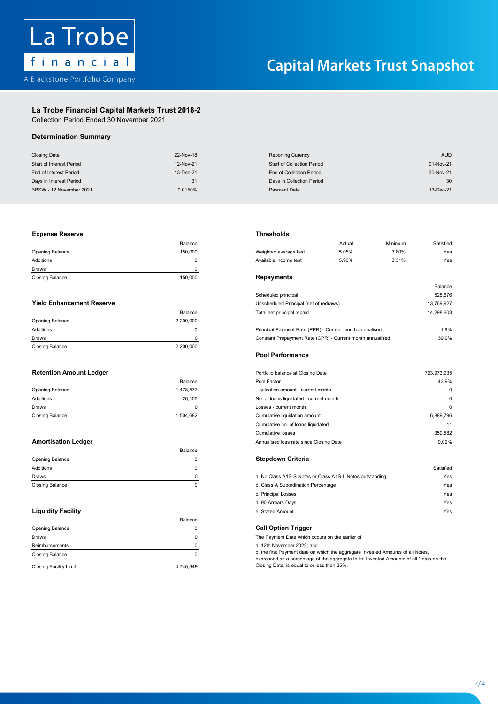

# **La Trobe Financial Capital Markets Trust 2018-2 La Trobe Financial Capital Markets Trust 2018-2**

Collection Period Ended 30 November 2021 Collection Period

# **Determination Summary**

| <b>Closing Date</b>      | 22-Nov-18 | <b>Reporting Curency</b>          | <b>AUD</b> |
|--------------------------|-----------|-----------------------------------|------------|
| Start of Interest Period | 12-Nov-21 | <b>Start of Collection Period</b> | 01-Nov-21  |
| End of Interest Period   | 13-Dec-21 | End of Collection Period          | 30-Nov-21  |
| Days in Interest Period  | 31        | Days in Collection Period         | 30         |
| BBSW - 12 November 2021  | 0.0150%   | Payment Date                      | 13-Dec-21  |

| <b>Expense Reserve</b> | Thresholds |
|------------------------|------------|

| <b>Closing Balance</b> | 150.000 | Repayments       |
|------------------------|---------|------------------|
| Draws                  |         |                  |
| Additions              |         | Available income |
| <b>Opening Balance</b> | 150.000 | Weighted averag  |
|                        | Balance |                  |

| <b>Closing Balance</b> | 2.200.000 | <b>Pool Performance</b>                                   |            |
|------------------------|-----------|-----------------------------------------------------------|------------|
| Draws                  |           | Constant Prepayment Rate (CPR) - Current month annualised | 39.9%      |
| Additions              |           | Principal Payment Rate (PPR) - Current month annualised   | 1.9%       |
| <b>Opening Balance</b> | 2.200.000 |                                                           |            |
|                        | Balance   | Total net principal repaid                                | 14.298.603 |

|                        | Balance   |
|------------------------|-----------|
| Opening Balance        | 1,478,577 |
| Additions              | 26.105    |
| Draws                  | n         |
| <b>Closing Balance</b> | 1,504,682 |

|                        | Balance |                                                          |           |
|------------------------|---------|----------------------------------------------------------|-----------|
| <b>Opening Balance</b> |         | Stepdown Criteria                                        |           |
| Additions              |         |                                                          | Satisfied |
| Draws                  |         | a. No Class A1S-S Notes or Class A1S-L Notes outstanding | Yes       |
| <b>Closing Balance</b> |         | b. Class A Subordination Percentage                      | Yes       |

|                               | Balance   |                                                                                                                                                                    |
|-------------------------------|-----------|--------------------------------------------------------------------------------------------------------------------------------------------------------------------|
| <b>Opening Balance</b>        |           | <b>Call Option Trigger</b>                                                                                                                                         |
| Draws                         |           | The Payment Date which occurs on the earlier of:                                                                                                                   |
| Reimbursements                |           | a. 12th November 2022; and                                                                                                                                         |
| <b>Closing Balance</b>        |           | b. the first Payment date on which the aggregate Invested Amounts of all Notes,<br>expressed as a percentage of the aggregate Initial Invested Amounts of all Note |
| <b>Closing Facility Limit</b> | 4.740.349 | Closing Date, is equal to or less than 25%.                                                                                                                        |

|  | Threshold |  |  |
|--|-----------|--|--|
|  |           |  |  |

|                                  | Balance   |                                                          | Actual | Minimum | Satisfied  |
|----------------------------------|-----------|----------------------------------------------------------|--------|---------|------------|
| Opening Balance                  | 150,000   | Weighted average test                                    | 5.05%  | 3.80%   | Yes        |
| <b>Additions</b>                 | 0         | Available income test                                    | 5.90%  | 3.31%   | Yes        |
| Draws                            |           |                                                          |        |         |            |
| <b>Closing Balance</b>           | 150,000   | <b>Repayments</b>                                        |        |         |            |
|                                  |           |                                                          |        |         | Balance    |
|                                  |           | Scheduled principal                                      |        |         | 528,676    |
| <b>Yield Enhancement Reserve</b> |           | Unscheduled Principal (net of redraws)                   |        |         | 13,769,927 |
|                                  | Balance   | Total net principal repaid                               |        |         | 14,298,603 |
| Opening Balance                  | 2,200,000 |                                                          |        |         |            |
| <b>Additions</b>                 | 0         | Principal Payment Rate (PPR) - Current month annualised  |        |         | 1.9%       |
| D <sub>2</sub>                   | $\sim$    | Constant Despainsont Data (CDD). Current month applicant |        |         | 20.001     |

## **Retention Amount Ledger** Portfolio balance at Closing Date 723,973,935 **Pool Performance**

| <b>Retention Amount Ledger</b> |           | Portfolio balance at Closing Date       | 723,973,935 |
|--------------------------------|-----------|-----------------------------------------|-------------|
|                                | Balance   | Pool Factor                             | 43.9%       |
| Opening Balance                | 1,478,577 | Liquidation amount - current month      | $\Omega$    |
| Additions                      | 26.105    | No. of loans liquidated - current month | $\Omega$    |
| Draws                          |           | Losses - current month                  | $\Omega$    |
| <b>Closing Balance</b>         | 1,504,682 | Cumulative liquidation amount           | 6,889,796   |
|                                |           | Cumulative no. of loans liquidated      | 11          |
|                                |           | Cumulative losses                       | 359,582     |
| <b>Amortisation Ledger</b>     |           | Annualised loss rate since Closing Date | 0.02%       |
|                                |           |                                         |             |

| Draws                     | a. No Class A1S-S Notes or Class A1S-L Notes outstanding | Yes |
|---------------------------|----------------------------------------------------------|-----|
| <b>Closing Balance</b>    | b. Class A Subordination Percentage                      | Yes |
|                           | c. Principal Losses                                      | Yes |
|                           | d. 90 Arrears Days                                       | Yes |
| <b>Liquidity Facility</b> | e. Stated Amount                                         | Yes |

The Payment Date which occurs on the earlier of:

a. 12th November 2022; and<br>b. the first Payment date on which the aggregate Invested Amounts of all Notes,<br>expressed as a percentage of the aggregate Initial Invested Amounts of all Notes on the Find The aggregate of the aggregate Initial Invested Amounts of all Notes,<br>a. 12th November 2022; and<br>b. the first Payment date on which the aggregate Initial Invested Amounts of all Notes on the<br>Closing Date, is equal to Closing Date, is equal to or less than 25%.

2 - 4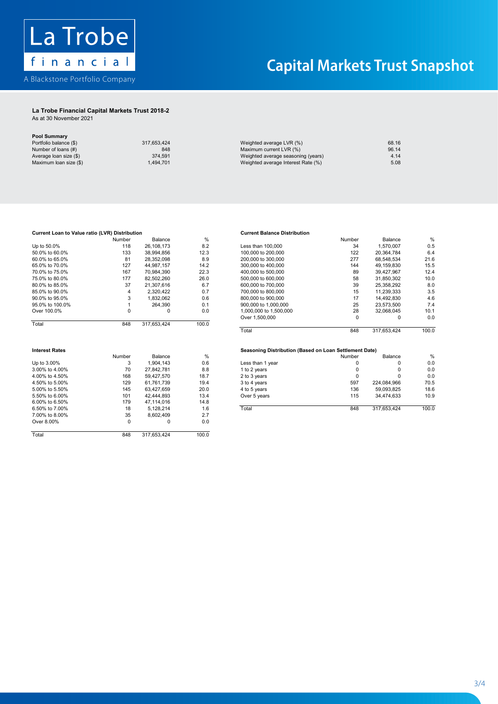

## **La Trobe Financial Capital Markets Trust 2018-2 La Trobe Financial Capital Markets Trust 2018-2**

As at 30 November 2021 As at 30 November 2021

**Pool Summary**

| <b>UVE OUTSTANT</b>    |             |                                    |       |
|------------------------|-------------|------------------------------------|-------|
| Portfolio balance (\$) | 317.653.424 | Weighted average LVR (%)           | 68.16 |
| Number of loans (#)    | 848         | Maximum current LVR (%)            | 96.14 |
| Average loan size (\$) | 374.591     | Weighted average seasoning (years) | 4.14  |
| Maximum loan size (\$) | 1.494.701   | Weighted average Interest Rate (%) | 5.08  |
|                        |             |                                    |       |

# 1.<br>http://www.barracellum.com/www.com/www.com/www.com/www.com/www.com/www.com/www.com/www.com/www.com/www.com/www<br>https://www.com/www.com/www.com/www.com/www.com/www.com/www.com/www.com/www.com/www.com/www.com/www.com/www. Current Loan to Value ratio (LVR) Distribution<br>Current Balance Distribution Distribution Delance Distribution Current Balance Distribution 75.0% to 80.0% <br>
82,502,260 <br>
85.0% to 90.0% <br>
85.0% to 90.0% <br>
85.0% to 90.0% <br>
85.0% to 90.0% <br>
85.0% to 90.0% <br>
87.1.307,616 <br>
87.21,307,616 <br>
8.7 **Interest Rates Seasoning Distribution (Based on Loan Settlement Date)**  $\frac{1}{2}$ .000  $\frac{1}{2}$  to  $\frac{1}{2}$  to  $\frac{1}{2}$  to  $\frac{1}{2}$  to  $\frac{1}{2}$  to  $\frac{1}{2}$  to  $\frac{1}{2}$ Interest Rates<br>Mumber Relaxes Research Of Seasoning Distribution (Based on Loan Settlement Date) 6.00% to 6.50% 179 47,114,016 14.8  $70$  27,842,781 8.8<br>4.00% to 4.50% 36,600 168 59,427,570 18.7  $\begin{array}{cccc} 3.00\% \text{ to } 4.00\% \ 4.00\% \text{ to } 4.50\% \end{array}$ <br>  $\begin{array}{cccc} 70 & 27,842,781 & 8.8 \ 4.00\% \text{ to } 5.00\% & 168 & 59,427,570 & 18.7 \ 4.50\% \text{ to } 5.00\% & & 129 & 61,761,739 & & 19.4 \end{array}$ 145 63,427,659 65,60% 65,50% 66,00% 66,00% 66,00% 66,00% 66,00% 66,000 66,000 66,000 66,000 66,000 66,000 66,000 66,000 66,000 66,000 66,000 66,000 66,000 66,000 66,000 66,000 66,000 66,000 66,000 66,000 66,000 66,000 66,0 Total 848 317,653,424 100.0 179 47,114,016 14.8<br>6.50% to 7.00% 17.00% 18 5,128,214 1.6 7.00% to 8.00% 35 8,602,409 2.7<br>Over 8.00% 35 8,602,409 2.7<br>Over 8.00% 0 0 0.0 Over 8.00% Total 848 317,653,424 100.0 Up to 50.0% 50.0% to 60.0% 60.0% to 65.0% 70.0% to 75.0% 75.0% to 80.0% **Interest Rates Seasoning Distribution (Based on Loan Settlement Date)**  $10$ tal to  $100.0$ **6.000 Number Balance** W 5.00% to 5.50%

# **Current Balance D**

|     |             |         |                        |     |             | %       |
|-----|-------------|---------|------------------------|-----|-------------|---------|
| 118 | 26.108.173  | 8.2     | Less than 100.000      | 34  | 1.570.007   | 0.5     |
| 133 | 38.994.856  | 12.3    | 100,000 to 200,000     | 122 | 20.364.784  | 6.4     |
| 81  | 28.352.098  | 8.9     | 200,000 to 300,000     | 277 | 68.548.534  | 21.6    |
| 127 | 44.987.157  | 14.2    | 300,000 to 400,000     | 144 | 49.159.830  | 15.5    |
| 167 | 70.984.390  | 22.3    | 400,000 to 500,000     | 89  | 39.427.967  | 12.4    |
| 177 | 82.502.260  | 26.0    | 500,000 to 600,000     | 58  | 31.850.302  | 10.0    |
| 37  | 21.307.616  | 6.7     | 600,000 to 700,000     | 39  | 25.358.292  | 8.0     |
| 4   | 2.320.422   | 0.7     | 700,000 to 800,000     | 15  | 11.239.333  | 3.5     |
|     | 832.062     | 0.6     | 800,000 to 900,000     | 17  | 14.492.830  | 4.6     |
|     | 264.390     | 0.1     | 900,000 to 1,000,000   | 25  | 23.573.500  | 7.4     |
|     |             | 0.0     | 1,000,000 to 1,500,000 | 28  | 32.068.045  | 10.1    |
|     |             |         | Over 1,500,000         | 0   |             | 0.0     |
| 848 | 317.653.424 | 100.0   |                        |     |             |         |
|     |             |         | Total                  | 848 | 317.653.424 | 100.0   |
|     | Number      | Balance | %                      |     | Number      | Balance |

|                | Number | Balance    | %    |                  | Number | Balance     | $\%$  |
|----------------|--------|------------|------|------------------|--------|-------------|-------|
| Up to 3.00%    |        | .904.143   | 0.6  | Less than 1 year |        |             | 0.0   |
| 3.00% to 4.00% | 70     | 27.842.781 | 8.8  | 1 to 2 years     |        | 0           | 0.0   |
| 4.00% to 4.50% | 168    | 59.427.570 | 18.7 | 2 to 3 years     |        | 0           | 0.0   |
| 4.50% to 5.00% | 129    | 61.761.739 | 19.4 | 3 to 4 years     | 597    | 224.084.966 | 70.5  |
| 5.00% to 5.50% | 145    | 63.427.659 | 20.0 | 4 to 5 years     | 136    | 59.093.825  | 18.6  |
| 5.50% to 6.00% | 101    | 42.444.893 | 13.4 | Over 5 years     | 115    | 34.474.633  | 10.9  |
| 6.00% to 6.50% | 179    | 47.114.016 | 14.8 |                  |        |             |       |
| 6.50% to 7.00% | 18     | 5.128.214  | 1.6  | Total            | 848    | 317.653.424 | 100.0 |
|                |        |            |      |                  |        |             |       |